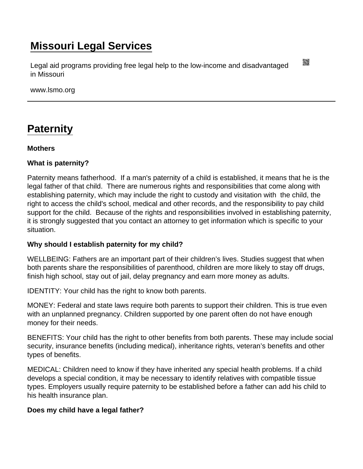# [Missouri Legal Services](https://www.lsmo.org/)

Legal aid programs providing free legal help to the low-income and disadvantaged in Missouri

www.lsmo.org

# **[Paternity](https://www.lsmo.org/node/642/paternity)**

**Mothers** 

What is paternity?

Paternity means fatherhood. If a man's paternity of a child is established, it means that he is the legal father of that child. There are numerous rights and responsibilities that come along with establishing paternity, which may include the right to custody and visitation with the child, the right to access the child's school, medical and other records, and the responsibility to pay child support for the child. Because of the rights and responsibilities involved in establishing paternity, it is strongly suggested that you contact an attorney to get information which is specific to your situation.

Why should I establish paternity for my child?

WELLBEING: Fathers are an important part of their children's lives. Studies suggest that when both parents share the responsibilities of parenthood, children are more likely to stay off drugs, finish high school, stay out of jail, delay pregnancy and earn more money as adults.

IDENTITY: Your child has the right to know both parents.

MONEY: Federal and state laws require both parents to support their children. This is true even with an unplanned pregnancy. Children supported by one parent often do not have enough money for their needs.

BENEFITS: Your child has the right to other benefits from both parents. These may include social security, insurance benefits (including medical), inheritance rights, veteran's benefits and other types of benefits.

MEDICAL: Children need to know if they have inherited any special health problems. If a child develops a special condition, it may be necessary to identify relatives with compatible tissue types. Employers usually require paternity to be established before a father can add his child to his health insurance plan.

Does my child have a legal father?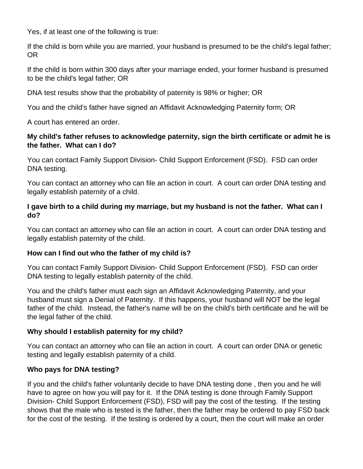Yes, if at least one of the following is true:

If the child is born while you are married, your husband is presumed to be the child's legal father; OR

If the child is born within 300 days after your marriage ended, your former husband is presumed to be the child's legal father; OR

DNA test results show that the probability of paternity is 98% or higher; OR

You and the child's father have signed an Affidavit Acknowledging Paternity form; OR

A court has entered an order.

# **My child's father refuses to acknowledge paternity, sign the birth certificate or admit he is the father. What can I do?**

You can contact Family Support Division- Child Support Enforcement (FSD). FSD can order DNA testing.

You can contact an attorney who can file an action in court. A court can order DNA testing and legally establish paternity of a child.

# **I gave birth to a child during my marriage, but my husband is not the father. What can I do?**

You can contact an attorney who can file an action in court. A court can order DNA testing and legally establish paternity of the child.

# **How can I find out who the father of my child is?**

You can contact Family Support Division- Child Support Enforcement (FSD). FSD can order DNA testing to legally establish paternity of the child.

You and the child's father must each sign an Affidavit Acknowledging Paternity, and your husband must sign a Denial of Paternity. If this happens, your husband will NOT be the legal father of the child. Instead, the father's name will be on the child's birth certificate and he will be the legal father of the child.

# **Why should I establish paternity for my child?**

You can contact an attorney who can file an action in court. A court can order DNA or genetic testing and legally establish paternity of a child.

# **Who pays for DNA testing?**

If you and the child's father voluntarily decide to have DNA testing done , then you and he will have to agree on how you will pay for it. If the DNA testing is done through Family Support Division- Child Support Enforcement (FSD), FSD will pay the cost of the testing. If the testing shows that the male who is tested is the father, then the father may be ordered to pay FSD back for the cost of the testing. If the testing is ordered by a court, then the court will make an order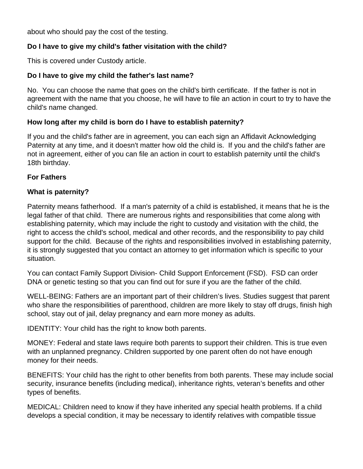about who should pay the cost of the testing.

# **Do I have to give my child's father visitation with the child?**

This is covered under Custody article.

# **Do I have to give my child the father's last name?**

No. You can choose the name that goes on the child's birth certificate. If the father is not in agreement with the name that you choose, he will have to file an action in court to try to have the child's name changed.

# **How long after my child is born do I have to establish paternity?**

If you and the child's father are in agreement, you can each sign an Affidavit Acknowledging Paternity at any time, and it doesn't matter how old the child is. If you and the child's father are not in agreement, either of you can file an action in court to establish paternity until the child's 18th birthday.

# **For Fathers**

#### **What is paternity?**

Paternity means fatherhood. If a man's paternity of a child is established, it means that he is the legal father of that child. There are numerous rights and responsibilities that come along with establishing paternity, which may include the right to custody and visitation with the child, the right to access the child's school, medical and other records, and the responsibility to pay child support for the child. Because of the rights and responsibilities involved in establishing paternity, it is strongly suggested that you contact an attorney to get information which is specific to your situation.

You can contact Family Support Division- Child Support Enforcement (FSD). FSD can order DNA or genetic testing so that you can find out for sure if you are the father of the child.

WELL-BEING: Fathers are an important part of their children's lives. Studies suggest that parent who share the responsibilities of parenthood, children are more likely to stay off drugs, finish high school, stay out of jail, delay pregnancy and earn more money as adults.

IDENTITY: Your child has the right to know both parents.

MONEY: Federal and state laws require both parents to support their children. This is true even with an unplanned pregnancy. Children supported by one parent often do not have enough money for their needs.

BENEFITS: Your child has the right to other benefits from both parents. These may include social security, insurance benefits (including medical), inheritance rights, veteran's benefits and other types of benefits.

MEDICAL: Children need to know if they have inherited any special health problems. If a child develops a special condition, it may be necessary to identify relatives with compatible tissue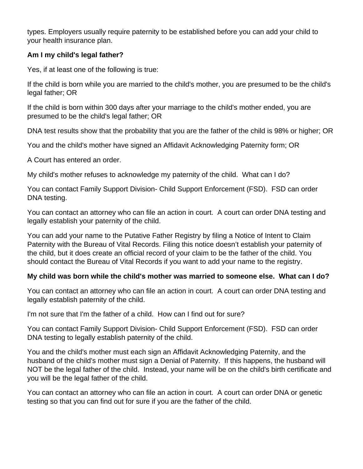types. Employers usually require paternity to be established before you can add your child to your health insurance plan.

#### **Am I my child's legal father?**

Yes, if at least one of the following is true:

If the child is born while you are married to the child's mother, you are presumed to be the child's legal father; OR

If the child is born within 300 days after your marriage to the child's mother ended, you are presumed to be the child's legal father; OR

DNA test results show that the probability that you are the father of the child is 98% or higher; OR

You and the child's mother have signed an Affidavit Acknowledging Paternity form; OR

A Court has entered an order.

My child's mother refuses to acknowledge my paternity of the child. What can I do?

You can contact Family Support Division- Child Support Enforcement (FSD). FSD can order DNA testing.

You can contact an attorney who can file an action in court. A court can order DNA testing and legally establish your paternity of the child.

You can add your name to the Putative Father Registry by filing a Notice of Intent to Claim Paternity with the Bureau of Vital Records. Filing this notice doesn't establish your paternity of the child, but it does create an official record of your claim to be the father of the child. You should contact the Bureau of Vital Records if you want to add your name to the registry.

#### **My child was born while the child's mother was married to someone else. What can I do?**

You can contact an attorney who can file an action in court. A court can order DNA testing and legally establish paternity of the child.

I'm not sure that I'm the father of a child. How can I find out for sure?

You can contact Family Support Division- Child Support Enforcement (FSD). FSD can order DNA testing to legally establish paternity of the child.

You and the child's mother must each sign an Affidavit Acknowledging Paternity, and the husband of the child's mother must sign a Denial of Paternity. If this happens, the husband will NOT be the legal father of the child. Instead, your name will be on the child's birth certificate and you will be the legal father of the child.

You can contact an attorney who can file an action in court. A court can order DNA or genetic testing so that you can find out for sure if you are the father of the child.